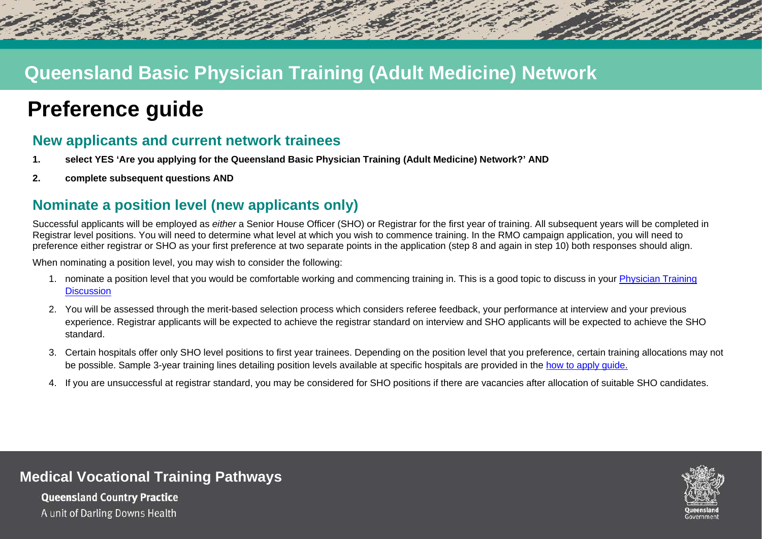## **Queensland Basic Physician Training (Adult Medicine) Network**

# **Preference guide**

### **New applicants and current network trainees**

- **1. select YES 'Are you applying for the Queensland Basic Physician Training (Adult Medicine) Network?' AND**
- **2. complete subsequent questions AND**

## **Nominate a position level (new applicants only)**

Successful applicants will be emploved as *either* a Senior House Officer (SHO) or Registrar for the first year of training. All subsequent years will be completed in Registrar level positions. You will need to determine what level at which you wish to commence training. In the RMO campaign application, you will need to preference either registrar or SHO as your first preference at two separate points in the application (step 8 and again in step 10) both responses should align.

When nominating a position level, you may wish to consider the following:

- 1. nominate a position level that you would be comfortable working and commencing training in. This is a good topic to discuss in your [Physician Training](https://www.health.qld.gov.au/__data/assets/pdf_file/0028/1036099/Planning-for-physician-training-form.pdf)  **[Discussion](https://www.health.qld.gov.au/__data/assets/pdf_file/0028/1036099/Planning-for-physician-training-form.pdf)**
- 2. You will be assessed through the merit-based selection process which considers referee feedback, your performance at interview and your previous experience. Registrar applicants will be expected to achieve the registrar standard on interview and SHO applicants will be expected to achieve the SHO standard.
- 3. Certain hospitals offer only SHO level positions to first year trainees. Depending on the position level that you preference, certain training allocations may not be possible. Sample 3-year training lines detailing position levels available at specific hospitals are provided in the [how to apply](https://www.health.qld.gov.au/__data/assets/pdf_file/0035/709379/physician-training-how-to-apply.pdf) quide.
- 4. If you are unsuccessful at registrar standard, you may be considered for SHO positions if there are vacancies after allocation of suitable SHO candidates.



#### **Medical Vocational Training Pathways**

**Queensland Country Practice** A unit of Darling Downs Health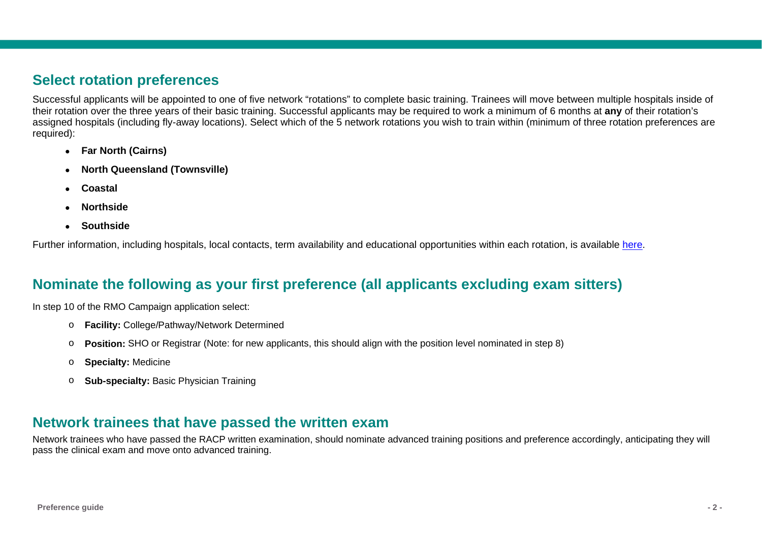#### **Select rotation preferences**

Successful applicants will be appointed to one of five network "rotations" to complete basic training. Trainees will move between multiple hospitals inside of their rotation over the three years of their basic training. Successful applicants may be required to work a minimum of 6 months at **any** of their rotation's assigned hospitals (including fly-away locations). Select which of the 5 network rotations you wish to train within (minimum of three rotation preferences are required):

- **Far North (Cairns)**
- **North Queensland (Townsville)**
- **Coastal**
- **Northside**
- **Southside**

Further information, including hospitals, local contacts, term availability and educational opportunities within each rotation, is available [here.](https://www.health.qld.gov.au/__data/assets/pdf_file/0021/709401/physician-network-training-rotations-hospitals.pdf)

## **Nominate the following as your first preference (all applicants excluding exam sitters)**

In step 10 of the RMO Campaign application select:

- o **Facility:** College/Pathway/Network Determined
- o **Position:** SHO or Registrar (Note: for new applicants, this should align with the position level nominated in step 8)
- o **Specialty:** Medicine
- o **Sub-specialty:** Basic Physician Training

#### **Network trainees that have passed the written exam**

Network trainees who have passed the RACP written examination, should nominate advanced training positions and preference accordingly, anticipating they will pass the clinical exam and move onto advanced training.